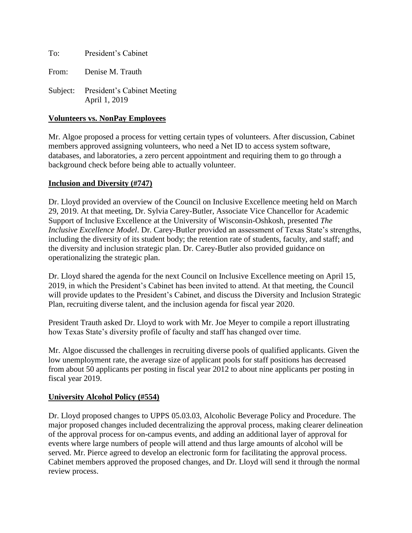To: President's Cabinet

From: Denise M. Trauth

Subject: President's Cabinet Meeting April 1, 2019

#### **Volunteers vs. NonPay Employees**

Mr. Algoe proposed a process for vetting certain types of volunteers. After discussion, Cabinet members approved assigning volunteers, who need a Net ID to access system software, databases, and laboratories, a zero percent appointment and requiring them to go through a background check before being able to actually volunteer.

#### **Inclusion and Diversity (#747)**

Dr. Lloyd provided an overview of the Council on Inclusive Excellence meeting held on March 29, 2019. At that meeting, Dr. Sylvia Carey-Butler, Associate Vice Chancellor for Academic Support of Inclusive Excellence at the University of Wisconsin-Oshkosh, presented *The Inclusive Excellence Model*. Dr. Carey-Butler provided an assessment of Texas State's strengths, including the diversity of its student body; the retention rate of students, faculty, and staff; and the diversity and inclusion strategic plan. Dr. Carey-Butler also provided guidance on operationalizing the strategic plan.

Dr. Lloyd shared the agenda for the next Council on Inclusive Excellence meeting on April 15, 2019, in which the President's Cabinet has been invited to attend. At that meeting, the Council will provide updates to the President's Cabinet, and discuss the Diversity and Inclusion Strategic Plan, recruiting diverse talent, and the inclusion agenda for fiscal year 2020.

President Trauth asked Dr. Lloyd to work with Mr. Joe Meyer to compile a report illustrating how Texas State's diversity profile of faculty and staff has changed over time.

Mr. Algoe discussed the challenges in recruiting diverse pools of qualified applicants. Given the low unemployment rate, the average size of applicant pools for staff positions has decreased from about 50 applicants per posting in fiscal year 2012 to about nine applicants per posting in fiscal year 2019.

#### **University Alcohol Policy (#554)**

Dr. Lloyd proposed changes to UPPS 05.03.03, Alcoholic Beverage Policy and Procedure. The major proposed changes included decentralizing the approval process, making clearer delineation of the approval process for on-campus events, and adding an additional layer of approval for events where large numbers of people will attend and thus large amounts of alcohol will be served. Mr. Pierce agreed to develop an electronic form for facilitating the approval process. Cabinet members approved the proposed changes, and Dr. Lloyd will send it through the normal review process.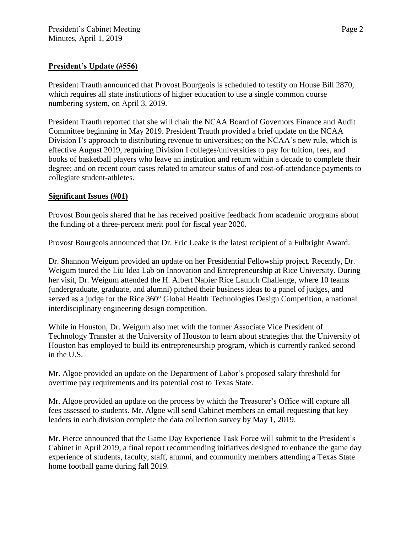# **President's Update (#556)**

President Trauth announced that Provost Bourgeois is scheduled to testify on House Bill 2870, which requires all state institutions of higher education to use a single common course numbering system, on April 3, 2019.

President Trauth reported that she will chair the NCAA Board of Governors Finance and Audit Committee beginning in May 2019. President Trauth provided a brief update on the NCAA Division I's approach to distributing revenue to universities; on the NCAA's new rule, which is effective August 2019, requiring Division I colleges/universities to pay for tuition, fees, and books of basketball players who leave an institution and return within a decade to complete their degree; and on recent court cases related to amateur status of and cost-of-attendance payments to collegiate student-athletes.

# **Significant Issues (#01)**

Provost Bourgeois shared that he has received positive feedback from academic programs about the funding of a three-percent merit pool for fiscal year 2020.

Provost Bourgeois announced that Dr. Eric Leake is the latest recipient of a Fulbright Award.

Dr. Shannon Weigum provided an update on her Presidential Fellowship project. Recently, Dr. Weigum toured the Liu Idea Lab on Innovation and Entrepreneurship at Rice University. During her visit, Dr. Weigum attended the H. Albert Napier Rice Launch Challenge, where 10 teams (undergraduate, graduate, and alumni) pitched their business ideas to a panel of judges, and served as a judge for the Rice 360° Global Health Technologies Design Competition, a national interdisciplinary engineering design competition.

While in Houston, Dr. Weigum also met with the former Associate Vice President of Technology Transfer at the University of Houston to learn about strategies that the University of Houston has employed to build its entrepreneurship program, which is currently ranked second in the U.S.

Mr. Algoe provided an update on the Department of Labor's proposed salary threshold for overtime pay requirements and its potential cost to Texas State.

Mr. Algoe provided an update on the process by which the Treasurer's Office will capture all fees assessed to students. Mr. Algoe will send Cabinet members an email requesting that key leaders in each division complete the data collection survey by May 1, 2019.

Mr. Pierce announced that the Game Day Experience Task Force will submit to the President's Cabinet in April 2019, a final report recommending initiatives designed to enhance the game day experience of students, faculty, staff, alumni, and community members attending a Texas State home football game during fall 2019.